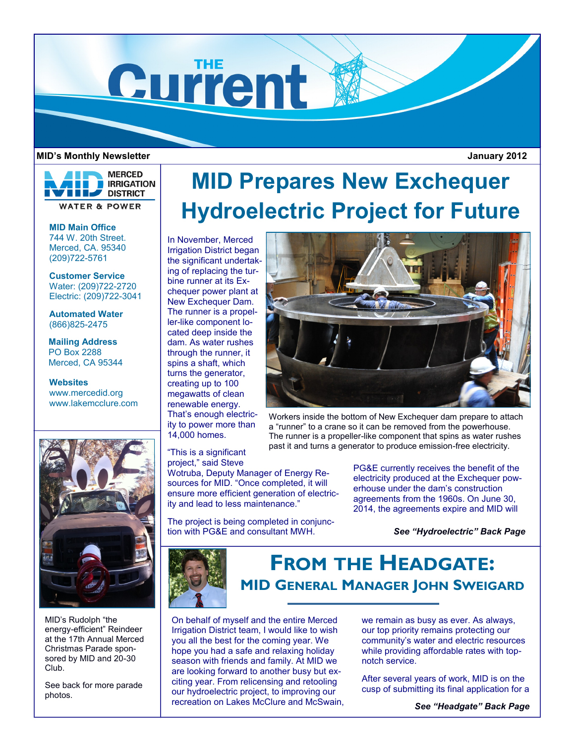

## **MID's Monthly Newsletter**

 **January 2012**



**MID Main Office** 744 W. 20th Street. Merced, CA. 95340 (209)722-5761

**Customer Service** Water: (209)722-2720 Electric: (209)722-3041

**Automated Water** (866)825-2475

**Mailing Address** PO Box 2288 Merced, CA 95344

**Websites** www.mercedid.org www.lakemcclure.com



MID's Rudolph "the energy-efficient" Reindeer at the 17th Annual Merced Christmas Parade sponsored by MID and 20-30 Club.

See back for more parade photos.

## **MID Prepares New Exchequer Hydroelectric Project for Future**

In November, Merced Irrigation District began the significant undertaking of replacing the turbine runner at its Exchequer power plant at New Exchequer Dam. The runner is a propeller-like component located deep inside the dam. As water rushes through the runner, it spins a shaft, which turns the generator, creating up to 100 megawatts of clean renewable energy. That's enough electricity to power more than 14,000 homes.



Workers inside the bottom of New Exchequer dam prepare to attach a "runner" to a crane so it can be removed from the powerhouse. The runner is a propeller-like component that spins as water rushes past it and turns a generator to produce emission-free electricity.

"This is a significant project," said Steve

Wotruba, Deputy Manager of Energy Resources for MID. "Once completed, it will ensure more efficient generation of electricity and lead to less maintenance."

PG&E currently receives the benefit of the electricity produced at the Exchequer powerhouse under the dam's construction agreements from the 1960s. On June 30, 2014, the agreements expire and MID will

The project is being completed in conjunction with PG&E and consultant MWH.

*See "Hydroelectric" Back Page*



**FROM THE HEADGATE: MID GENERAL MANAGER JOHN SWEIGARD**

On behalf of myself and the entire Merced Irrigation District team, I would like to wish you all the best for the coming year. We hope you had a safe and relaxing holiday season with friends and family. At MID we are looking forward to another busy but exciting year. From relicensing and retooling our hydroelectric project, to improving our recreation on Lakes McClure and McSwain,

we remain as busy as ever. As always, our top priority remains protecting our community's water and electric resources while providing affordable rates with topnotch service.

After several years of work, MID is on the cusp of submitting its final application for a